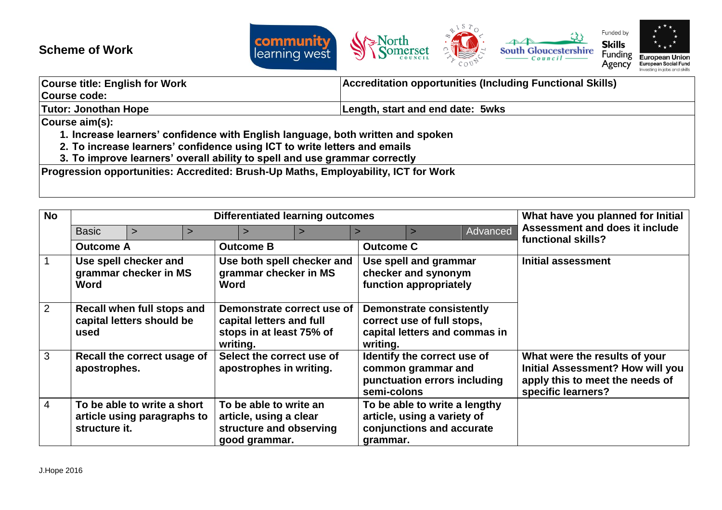## **Scheme of Work**



| <b>Course title: English for Work</b>                                                                                                                                                                                          | <b>Accreditation opportunities (Including Functional Skills)</b> |  |  |  |
|--------------------------------------------------------------------------------------------------------------------------------------------------------------------------------------------------------------------------------|------------------------------------------------------------------|--|--|--|
| Course code:                                                                                                                                                                                                                   |                                                                  |  |  |  |
| <b>Tutor: Jonothan Hope</b>                                                                                                                                                                                                    | Length, start and end date: 5wks                                 |  |  |  |
| Course aim(s):                                                                                                                                                                                                                 |                                                                  |  |  |  |
| 1. Increase learners' confidence with English language, both written and spoken                                                                                                                                                |                                                                  |  |  |  |
| 2. To increase learners' confidence using ICT to write letters and emails                                                                                                                                                      |                                                                  |  |  |  |
| A $\pm$ . For a set of the control of the set of the field of the set of the set of the set of the set of the set of the set of the set of the set of the set of the set of the set of the set of the set of the set of the se |                                                                  |  |  |  |

**3. To improve learners' overall ability to spell and use grammar correctly**

**Progression opportunities: Accredited: Brush-Up Maths, Employability, ICT for Work**

| <b>No</b>      | <b>Differentiated learning outcomes</b>                                     |  |  |                                                                                                |          | What have you planned for Initial                                                                     |                                                                                         |  |                                                                                                                                   |
|----------------|-----------------------------------------------------------------------------|--|--|------------------------------------------------------------------------------------------------|----------|-------------------------------------------------------------------------------------------------------|-----------------------------------------------------------------------------------------|--|-----------------------------------------------------------------------------------------------------------------------------------|
|                | <b>Basic</b><br>$\geq$                                                      |  |  |                                                                                                | Advanced | Assessment and does it include<br>functional skills?                                                  |                                                                                         |  |                                                                                                                                   |
|                | <b>Outcome A</b>                                                            |  |  | <b>Outcome B</b>                                                                               |          | <b>Outcome C</b>                                                                                      |                                                                                         |  |                                                                                                                                   |
| $\sqrt{1}$     | Use spell checker and<br>grammar checker in MS<br>Word                      |  |  | Use both spell checker and<br>grammar checker in MS<br>Word                                    |          | Use spell and grammar<br>checker and synonym<br>function appropriately                                |                                                                                         |  | <b>Initial assessment</b>                                                                                                         |
| $\overline{2}$ | Recall when full stops and<br>capital letters should be<br>used             |  |  | Demonstrate correct use of<br>capital letters and full<br>stops in at least 75% of<br>writing. |          | writing.                                                                                              | Demonstrate consistently<br>correct use of full stops,<br>capital letters and commas in |  |                                                                                                                                   |
| $\overline{3}$ | Recall the correct usage of<br>apostrophes.                                 |  |  | Select the correct use of<br>apostrophes in writing.                                           |          | semi-colons                                                                                           | Identify the correct use of<br>common grammar and<br>punctuation errors including       |  | What were the results of your<br><b>Initial Assessment? How will you</b><br>apply this to meet the needs of<br>specific learners? |
| $\overline{4}$ | To be able to write a short<br>article using paragraphs to<br>structure it. |  |  | To be able to write an<br>article, using a clear<br>structure and observing<br>good grammar.   |          | To be able to write a lengthy<br>article, using a variety of<br>conjunctions and accurate<br>grammar. |                                                                                         |  |                                                                                                                                   |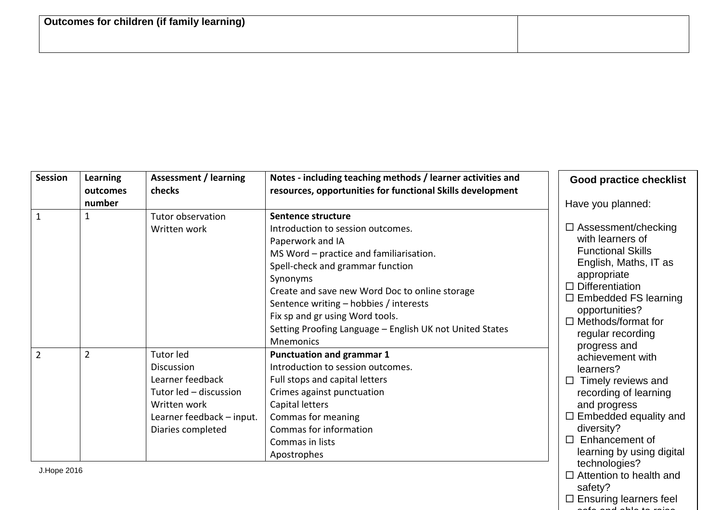| <b>Session</b> | Learning<br>outcomes | <b>Assessment / learning</b><br>checks                                                                                                  | Notes - including teaching methods / learner activities and<br>resources, opportunities for functional Skills development                                                                                                                                                                                                                                                             | <b>Good practice checklist</b>                                                                                                                                                                                                                                  |
|----------------|----------------------|-----------------------------------------------------------------------------------------------------------------------------------------|---------------------------------------------------------------------------------------------------------------------------------------------------------------------------------------------------------------------------------------------------------------------------------------------------------------------------------------------------------------------------------------|-----------------------------------------------------------------------------------------------------------------------------------------------------------------------------------------------------------------------------------------------------------------|
|                | number               |                                                                                                                                         |                                                                                                                                                                                                                                                                                                                                                                                       | Have you planned:                                                                                                                                                                                                                                               |
|                |                      | Tutor observation<br>Written work                                                                                                       | Sentence structure<br>Introduction to session outcomes.<br>Paperwork and IA<br>MS Word - practice and familiarisation.<br>Spell-check and grammar function<br>Synonyms<br>Create and save new Word Doc to online storage<br>Sentence writing - hobbies / interests<br>Fix sp and gr using Word tools.<br>Setting Proofing Language - English UK not United States<br><b>Mnemonics</b> | $\Box$ Assessment/checking<br>with learners of<br><b>Functional Skills</b><br>English, Maths, IT as<br>appropriate<br>$\Box$ Differentiation<br>$\Box$ Embedded FS learning<br>opportunities?<br>$\Box$ Methods/format for<br>regular recording<br>progress and |
| $\overline{2}$ | $\overline{2}$       | Tutor led<br>Discussion<br>Learner feedback<br>Tutor led - discussion<br>Written work<br>Learner feedback - input.<br>Diaries completed | <b>Punctuation and grammar 1</b><br>Introduction to session outcomes.<br>Full stops and capital letters<br>Crimes against punctuation<br>Capital letters<br>Commas for meaning<br>Commas for information<br>Commas in lists<br>Apostrophes                                                                                                                                            | achievement with<br>learners?<br>Timely reviews and<br>$\Box$<br>recording of learning<br>and progress<br>$\Box$ Embedded equality and<br>diversity?<br>Enhancement of<br>$\Box$<br>learning by using digital<br>technologies?                                  |

J.Hope 2016

safety?  $\square$  Ensuring learners feel safe and able to raise

 $\square$  Attention to health and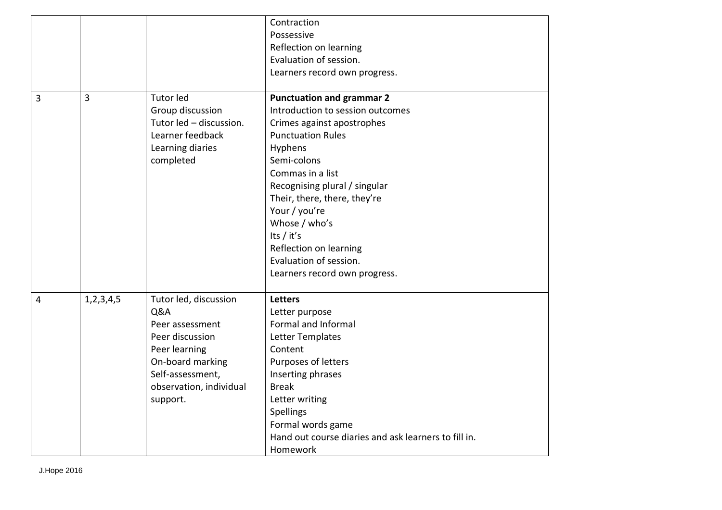|                |               |                         | Contraction                                          |
|----------------|---------------|-------------------------|------------------------------------------------------|
|                |               |                         | Possessive                                           |
|                |               |                         | Reflection on learning                               |
|                |               |                         | Evaluation of session.                               |
|                |               |                         | Learners record own progress.                        |
|                |               |                         |                                                      |
| $\overline{3}$ | 3             | Tutor led               | <b>Punctuation and grammar 2</b>                     |
|                |               | Group discussion        | Introduction to session outcomes                     |
|                |               | Tutor led - discussion. | Crimes against apostrophes                           |
|                |               | Learner feedback        | <b>Punctuation Rules</b>                             |
|                |               | Learning diaries        | Hyphens                                              |
|                |               | completed               | Semi-colons                                          |
|                |               |                         | Commas in a list                                     |
|                |               |                         | Recognising plural / singular                        |
|                |               |                         | Their, there, there, they're                         |
|                |               |                         | Your / you're                                        |
|                |               |                         | Whose / who's                                        |
|                |               |                         | Its / it's                                           |
|                |               |                         | Reflection on learning                               |
|                |               |                         | Evaluation of session.                               |
|                |               |                         | Learners record own progress.                        |
|                |               |                         |                                                      |
| 4              | 1, 2, 3, 4, 5 | Tutor led, discussion   | <b>Letters</b>                                       |
|                |               | Q&A                     | Letter purpose                                       |
|                |               | Peer assessment         | Formal and Informal                                  |
|                |               | Peer discussion         | Letter Templates                                     |
|                |               | Peer learning           | Content                                              |
|                |               | On-board marking        | Purposes of letters                                  |
|                |               | Self-assessment,        | Inserting phrases                                    |
|                |               | observation, individual | <b>Break</b>                                         |
|                |               | support.                | Letter writing                                       |
|                |               |                         | <b>Spellings</b>                                     |
|                |               |                         | Formal words game                                    |
|                |               |                         | Hand out course diaries and ask learners to fill in. |
|                |               |                         | Homework                                             |